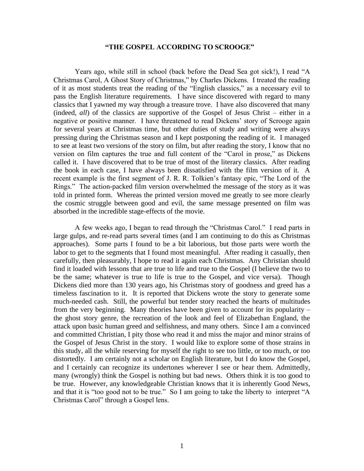## **"THE GOSPEL ACCORDING TO SCROOGE"**

Years ago, while still in school (back before the Dead Sea got sick!), I read "A Christmas Carol, A Ghost Story of Christmas," by Charles Dickens. I treated the reading of it as most students treat the reading of the "English classics," as a necessary evil to pass the English literature requirements. I have since discovered with regard to many classics that I yawned my way through a treasure trove. I have also discovered that many (indeed, *all*) of the classics are supportive of the Gospel of Jesus Christ – either in a negative or positive manner. I have threatened to read Dickens' story of Scrooge again for several years at Christmas time, but other duties of study and writing were always pressing during the Christmas season and I kept postponing the reading of it. I managed to see at least two versions of the story on film, but after reading the story, I know that no version on film captures the true and full content of the "Carol in prose," as Dickens called it. I have discovered that to be true of most of the literary classics. After reading the book in each case, I have always been dissatisfied with the film version of it. A recent example is the first segment of J. R. R. Tolkien's fantasy epic, "The Lord of the Rings." The action-packed film version overwhelmed the message of the story as it was told in printed form. Whereas the printed version moved me greatly to see more clearly the cosmic struggle between good and evil, the same message presented on film was absorbed in the incredible stage-effects of the movie.

A few weeks ago, I began to read through the "Christmas Carol." I read parts in large gulps, and re-read parts several times (and I am continuing to do this as Christmas approaches). Some parts I found to be a bit laborious, but those parts were worth the labor to get to the segments that I found most meaningful. After reading it casually, then carefully, then pleasurably, I hope to read it again each Christmas. Any Christian should find it loaded with lessons that are true to life and true to the Gospel (I believe the two to be the same; whatever is true to life is true to the Gospel, and vice versa). Though Dickens died more than 130 years ago, his Christmas story of goodness and greed has a timeless fascination to it. It is reported that Dickens wrote the story to generate some much-needed cash. Still, the powerful but tender story reached the hearts of multitudes from the very beginning. Many theories have been given to account for its popularity – the ghost story genre, the recreation of the look and feel of Elizabethan England, the attack upon basic human greed and selfishness, and many others. Since I am a convinced and committed Christian, I pity those who read it and miss the major and minor strains of the Gospel of Jesus Christ in the story. I would like to explore some of those strains in this study, all the while reserving for myself the right to see too little, or too much, or too distortedly. I am certainly not a scholar on English literature, but I do know the Gospel, and I certainly can recognize its undertones wherever I see or hear them. Admittedly, many (wrongly) think the Gospel is nothing but bad news. Others think it is too good to be true. However, any knowledgeable Christian knows that it is inherently Good News, and that it is "too good not to be true." So I am going to take the liberty to interpret "A Christmas Carol" through a Gospel lens.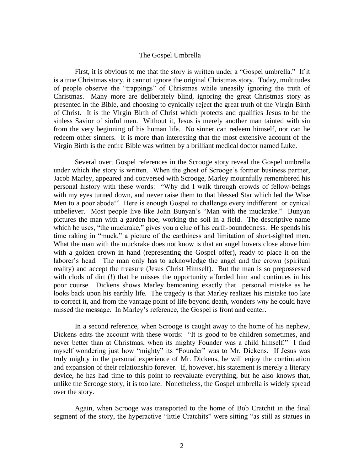## The Gospel Umbrella

First, it is obvious to me that the story is written under a "Gospel umbrella." If it is a true Christmas story, it cannot ignore the original Christmas story. Today, multitudes of people observe the "trappings" of Christmas while uneasily ignoring the truth of Christmas. Many more are deliberately blind, ignoring the great Christmas story as presented in the Bible, and choosing to cynically reject the great truth of the Virgin Birth of Christ. It is the Virgin Birth of Christ which protects and qualifies Jesus to be the sinless Savior of sinful men. Without it, Jesus is merely another man tainted with sin from the very beginning of his human life. No sinner can redeem himself, nor can he redeem other sinners. It is more than interesting that the most extensive account of the Virgin Birth is the entire Bible was written by a brilliant medical doctor named Luke.

Several overt Gospel references in the Scrooge story reveal the Gospel umbrella under which the story is written. When the ghost of Scrooge's former business partner, Jacob Marley, appeared and conversed with Scrooge, Marley mournfully remembered his personal history with these words: "Why did I walk through crowds of fellow-beings with my eyes turned down, and never raise them to that blessed Star which led the Wise Men to a poor abode!" Here is enough Gospel to challenge every indifferent or cynical unbeliever. Most people live like John Bunyan's "Man with the muckrake." Bunyan pictures the man with a garden hoe, working the soil in a field. The descriptive name which he uses, "the muckrake," gives you a clue of his earth-boundedness. He spends his time raking in "muck," a picture of the earthiness and limitation of short-sighted men. What the man with the muckrake does not know is that an angel hovers close above him with a golden crown in hand (representing the Gospel offer), ready to place it on the laborer's head. The man only has to acknowledge the angel and the crown (spiritual reality) and accept the treasure (Jesus Christ Himself). But the man is so prepossessed with clods of dirt (!) that he misses the opportunity afforded him and continues in his poor course. Dickens shows Marley bemoaning exactly that personal mistake as he looks back upon his earthly life. The tragedy is that Marley realizes his mistake too late to correct it, and from the vantage point of life beyond death, wonders *why* he could have missed the message. In Marley's reference, the Gospel is front and center.

In a second reference, when Scrooge is caught away to the home of his nephew, Dickens edits the account with these words: "It is good to be children sometimes, and never better than at Christmas, when its mighty Founder was a child himself." I find myself wondering just how "mighty" its "Founder" was to Mr. Dickens. If Jesus was truly mighty in the personal experience of Mr. Dickens, he will enjoy the continuation and expansion of their relationship forever. If, however, his statement is merely a literary device, he has had time to this point to reevaluate everything, but he also knows that, unlike the Scrooge story, it is too late. Nonetheless, the Gospel umbrella is widely spread over the story.

Again, when Scrooge was transported to the home of Bob Cratchit in the final segment of the story, the hyperactive "little Cratchits" were sitting "as still as statues in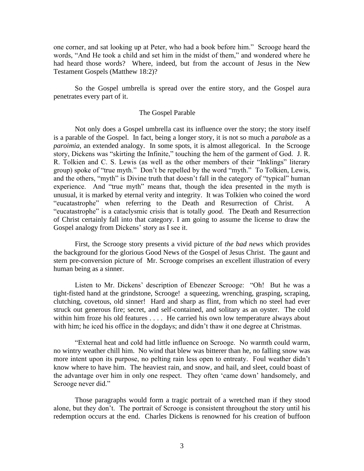one corner, and sat looking up at Peter, who had a book before him." Scrooge heard the words, "And He took a child and set him in the midst of them," and wondered where he had heard those words? Where, indeed, but from the account of Jesus in the New Testament Gospels (Matthew 18:2)?

So the Gospel umbrella is spread over the entire story, and the Gospel aura penetrates every part of it.

## The Gospel Parable

Not only does a Gospel umbrella cast its influence over the story; the story itself is a parable of the Gospel. In fact, being a longer story, it is not so much a *parabole* as a *paroimia*, an extended analogy. In some spots, it is almost allegorical. In the Scrooge story, Dickens was "skirting the Infinite," touching the hem of the garment of God. J. R. R. Tolkien and C. S. Lewis (as well as the other members of their "Inklings" literary group) spoke of "true myth." Don't be repelled by the word "myth." To Tolkien, Lewis, and the others, "myth" is Divine truth that doesn't fall in the category of "typical" human experience. And "true myth" means that, though the idea presented in the myth is unusual, it is marked by eternal verity and integrity. It was Tolkien who coined the word "eucatastrophe" when referring to the Death and Resurrection of Christ. A "eucatastrophe" is a cataclysmic crisis that is totally *good.* The Death and Resurrection of Christ certainly fall into that category. I am going to assume the license to draw the Gospel analogy from Dickens' story as I see it.

First, the Scrooge story presents a vivid picture of *the bad news* which provides the background for the glorious Good News of the Gospel of Jesus Christ. The gaunt and stern pre-conversion picture of Mr. Scrooge comprises an excellent illustration of every human being as a sinner.

Listen to Mr. Dickens' description of Ebenezer Scrooge: "Oh! But he was a tight-fisted hand at the grindstone, Scrooge! a squeezing, wrenching, grasping, scraping, clutching, covetous, old sinner! Hard and sharp as flint, from which no steel had ever struck out generous fire; secret, and self-contained, and solitary as an oyster. The cold within him froze his old features . . . . He carried his own low temperature always about with him; he iced his office in the dogdays; and didn't thaw it one degree at Christmas.

"External heat and cold had little influence on Scrooge. No warmth could warm, no wintry weather chill him. No wind that blew was bitterer than he, no falling snow was more intent upon its purpose, no pelting rain less open to entreaty. Foul weather didn't know where to have him. The heaviest rain, and snow, and hail, and sleet, could boast of the advantage over him in only one respect. They often 'came down' handsomely, and Scrooge never did."

Those paragraphs would form a tragic portrait of a wretched man if they stood alone, but they don't. The portrait of Scrooge is consistent throughout the story until his redemption occurs at the end. Charles Dickens is renowned for his creation of buffoon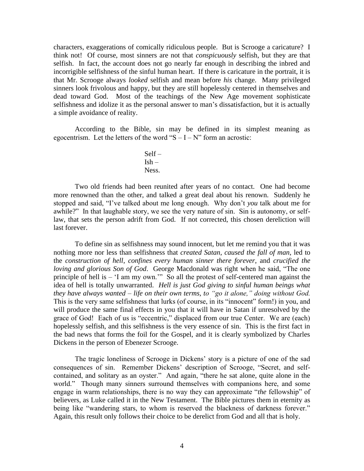characters, exaggerations of comically ridiculous people. But is Scrooge a caricature? I think not! Of course, most sinners are not that *conspicuously* selfish, but they are that selfish. In fact, the account does not go nearly far enough in describing the inbred and incorrigible selfishness of the sinful human heart. If there is caricature in the portrait, it is that Mr. Scrooge always *looked* selfish and mean before *his* change. Many privileged sinners look frivolous and happy, but they are still hopelessly centered in themselves and dead toward God. Most of the teachings of the New Age movement sophisticate selfishness and idolize it as the personal answer to man's dissatisfaction, but it is actually a simple avoidance of reality.

According to the Bible, sin may be defined in its simplest meaning as egocentrism. Let the letters of the word " $S - I - N$ " form an acrostic:

> Self –  $Ish -$ Ness.

Two old friends had been reunited after years of no contact. One had become more renowned than the other, and talked a great deal about his renown. Suddenly he stopped and said, "I've talked about me long enough. Why don't *you* talk about me for awhile?" In that laughable story, we see the very nature of sin. Sin is autonomy, or selflaw, that sets the person adrift from God. If not corrected, this chosen dereliction will last forever.

To define sin as selfishness may sound innocent, but let me remind you that it was nothing more nor less than selfishness that *created Satan*, *caused the fall of man*, led to the *construction of hell*, *confines every human sinner there forever*, and *crucified the loving and glorious Son of God*. George Macdonald was right when he said, "The one principle of hell is – 'I am my own.'" So all the protest of self-centered man against the idea of hell is totally unwarranted. *Hell is just God giving to sinful human beings what they have always wanted* – *life on their own terms, to "go it alone," doing without God.*  This is the very same selfishness that lurks (of course, in its "innocent" form!) in you, and will produce the same final effects in you that it will have in Satan if unresolved by the grace of God! Each of us is "eccentric," displaced from our true Center. We are (each) hopelessly selfish, and this selfishness is the very essence of sin. This is the first fact in the bad news that forms the foil for the Gospel, and it is clearly symbolized by Charles Dickens in the person of Ebenezer Scrooge.

The tragic loneliness of Scrooge in Dickens' story is a picture of one of the sad consequences of sin. Remember Dickens' description of Scrooge, "Secret, and selfcontained, and solitary as an oyster." And again, "there he sat alone, quite alone in the world." Though many sinners surround themselves with companions here, and some engage in warm relationships, there is no way they can approximate "*the* fellowship" of believers, as Luke called it in the New Testament. The Bible pictures them in eternity as being like "wandering stars, to whom is reserved the blackness of darkness forever." Again, this result only follows their choice to be derelict from God and all that is holy.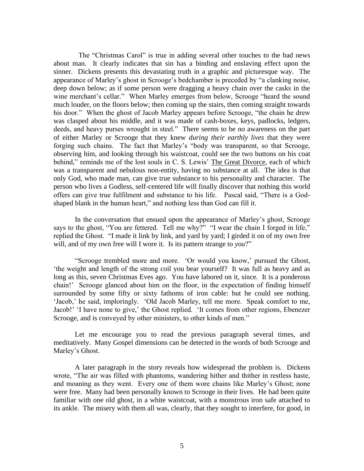The "Christmas Carol" is true in adding several other touches to the bad news about man. It clearly indicates that sin has a binding and enslaving effect upon the sinner. Dickens presents this devastating truth in a graphic and picturesque way. The appearance of Marley's ghost in Scrooge's bedchamber is preceded by "a clanking noise, deep down below; as if some person were dragging a heavy chain over the casks in the wine merchant's cellar." When Marley emerges from below, Scrooge "heard the sound much louder, on the floors below; then coming up the stairs, then coming straight towards his door." When the ghost of Jacob Marley appears before Scrooge, "the chain he drew was clasped about his middle, and it was made of cash-boxes, keys, padlocks, ledgers, deeds, and heavy purses wrought in steel." There seems to be no awareness on the part of either Marley or Scrooge that they knew *during their earthly lives* that they were forging such chains. The fact that Marley's "body was transparent, so that Scrooge, observing him, and looking through his waistcoat, could see the two buttons on his coat behind," reminds me of the lost souls in C. S. Lewis' The Great Divorce, each of which was a transparent and nebulous non-entity, having no substance at all. The idea is that only God, who made man, can give true substance to his personality and character. The person who lives a Godless, self-centered life will finally discover that nothing this world offers can give true fulfilment and substance to his life. Pascal said, "There is a Godshaped blank in the human heart," and nothing less than God can fill it.

In the conversation that ensued upon the appearance of Marley's ghost, Scrooge says to the ghost, "You are fettered. Tell me why?" "I wear the chain I forged in life," replied the Ghost. "I made it link by link, and yard by yard; I girded it on of my own free will, and of my own free will I wore it. Is its pattern strange to *you*?"

"Scrooge trembled more and more. 'Or would you know,' pursued the Ghost, 'the weight and length of the strong coil you bear yourself? It was full as heavy and as long as this, seven Christmas Eves ago. You have labored on it, since. It is a ponderous chain!' Scrooge glanced about him on the floor, in the expectation of finding himself surrounded by some fifty or sixty fathoms of iron cable: but he could see nothing. 'Jacob,' he said, imploringly. 'Old Jacob Marley, tell me more. Speak comfort to me, Jacob!' 'I have none to give,' the Ghost replied. 'It comes from other regions, Ebenezer Scrooge, and is conveyed by other ministers, to other kinds of men."

Let me encourage you to read the previous paragraph several times, and meditatively. Many Gospel dimensions can be detected in the words of both Scrooge and Marley's Ghost.

A later paragraph in the story reveals how widespread the problem is. Dickens wrote, "The air was filled with phantoms, wandering hither and thither in restless haste, and moaning as they went. Every one of them wore chains like Marley's Ghost; none were free. Many had been personally known to Scrooge in their lives. He had been quite familiar with one old ghost, in a white waistcoat, with a monstrous iron safe attached to its ankle. The misery with them all was, clearly, that they sought to interfere, for good, in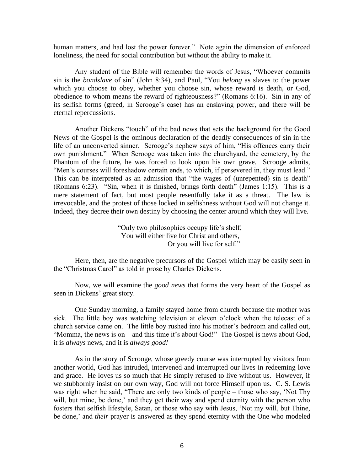human matters, and had lost the power forever." Note again the dimension of enforced loneliness, the need for social contribution but without the ability to make it.

Any student of the Bible will remember the words of Jesus, "Whoever commits sin is the *bondslave* of sin" (John 8:34), and Paul, "You *belong* as slaves to the power which you choose to obey, whether you choose sin, whose reward is death, or God, obedience to whom means the reward of righteousness?" (Romans 6:16). Sin in any of its selfish forms (greed, in Scrooge's case) has an enslaving power, and there will be eternal repercussions.

Another Dickens "touch" of the bad news that sets the background for the Good News of the Gospel is the ominous declaration of the deadly consequences of sin in the life of an unconverted sinner. Scrooge's nephew says of him, "His offences carry their own punishment." When Scrooge was taken into the churchyard, the cemetery, by the Phantom of the future, he was forced to look upon his own grave. Scrooge admits, "Men's courses will foreshadow certain ends, to which, if persevered in, they must lead." This can be interpreted as an admission that "the wages of (unrepented) sin is death" (Romans 6:23). "Sin, when it is finished, brings forth death" (James 1:15). This is a mere statement of fact, but most people resentfully take it as a threat. The law is irrevocable, and the protest of those locked in selfishness without God will not change it. Indeed, they decree their own destiny by choosing the center around which they will live.

> "Only two philosophies occupy life's shelf; You will either live for Christ and others, Or you will live for self."

Here, then, are the negative precursors of the Gospel which may be easily seen in the "Christmas Carol" as told in prose by Charles Dickens.

Now, we will examine the *good news* that forms the very heart of the Gospel as seen in Dickens' great story.

One Sunday morning, a family stayed home from church because the mother was sick. The little boy was watching television at eleven o'clock when the telecast of a church service came on. The little boy rushed into his mother's bedroom and called out, "Momma, the news is on – and this time it's about God!" The Gospel is news about God, it is *always* news, and it is *always good!*

As in the story of Scrooge, whose greedy course was interrupted by visitors from another world, God has intruded, intervened and interrupted our lives in redeeming love and grace. He loves us so much that He simply refused to live without us. However, if we stubbornly insist on our own way, God will not force Himself upon us. C. S. Lewis was right when he said, "There are only two kinds of people – those who say, 'Not Thy will, but mine, be done,' and they get their way and spend eternity with the person who fosters that selfish lifestyle, Satan, or those who say with Jesus, 'Not my will, but Thine, be done,' and *their* prayer is answered as they spend eternity with the One who modeled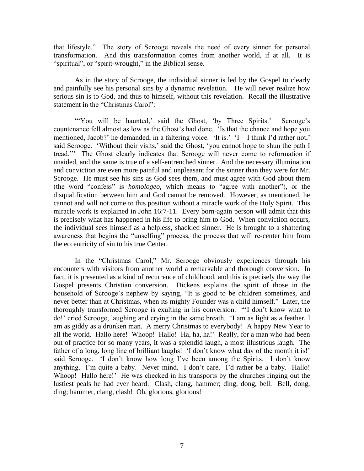that lifestyle." The story of Scrooge reveals the need of every sinner for personal transformation. And this transformation comes from another world, if at all. It is "spiritual", or "spirit-wrought," in the Biblical sense.

As in the story of Scrooge, the individual sinner is led by the Gospel to clearly and painfully see his personal sins by a dynamic revelation. He will never realize how serious sin is to God, and thus to himself, without this revelation. Recall the illustrative statement in the "Christmas Carol":

"You will be haunted,' said the Ghost, 'by Three Spirits.' Scrooge's countenance fell almost as low as the Ghost's had done. 'Is that the chance and hope you mentioned, Jacob?' he demanded, in a faltering voice. 'It is.' 'I – I think I'd rather not,' said Scrooge. 'Without their visits,' said the Ghost, 'you cannot hope to shun the path I tread.'" The Ghost clearly indicates that Scrooge will never come to reformation if unaided, and the same is true of a self-entrenched sinner. And the necessary illumination and conviction are even more painful and unpleasant for the sinner than they were for Mr. Scrooge. He must see his sins as God sees them, and must agree with God about them (the word "confess" is *homologeo*, which means to "agree with another"), or the disqualification between him and God cannot be removed. However, as mentioned, he cannot and will not come to this position without a miracle work of the Holy Spirit. This miracle work is explained in John 16:7-11. Every born-again person will admit that this is precisely what has happened in his life to bring him to God. When conviction occurs, the individual sees himself as a helpless, shackled sinner. He is brought to a shattering awareness that begins the "unselfing" process, the process that will re-center him from the eccentricity of sin to his true Center.

In the "Christmas Carol," Mr. Scrooge obviously experiences through his encounters with visitors from another world a remarkable and thorough conversion. In fact, it is presented as a kind of recurrence of childhood, and this is precisely the way the Gospel presents Christian conversion. Dickens explains the spirit of those in the household of Scrooge's nephew by saying, "It is good to be children sometimes, and never better than at Christmas, when its mighty Founder was a child himself." Later, the thoroughly transformed Scrooge is exulting in his conversion. "'I don't know what to do!' cried Scrooge, laughing and crying in the same breath. 'I am as light as a feather, I am as giddy as a drunken man. A merry Christmas to everybody! A happy New Year to all the world. Hallo here! Whoop! Hallo! Ha, ha, ha!' Really, for a man who had been out of practice for so many years, it was a splendid laugh, a most illustrious laugh. The father of a long, long line of brilliant laughs! 'I don't know what day of the month it is!' said Scrooge. 'I don't know how long I've been among the Spirits. I don't know anything. I'm quite a baby. Never mind. I don't care. I'd rather be a baby. Hallo! Whoop! Hallo here!' He was checked in his transports by the churches ringing out the lustiest peals he had ever heard. Clash, clang, hammer; ding, dong, bell. Bell, dong, ding; hammer, clang, clash! Oh, glorious, glorious!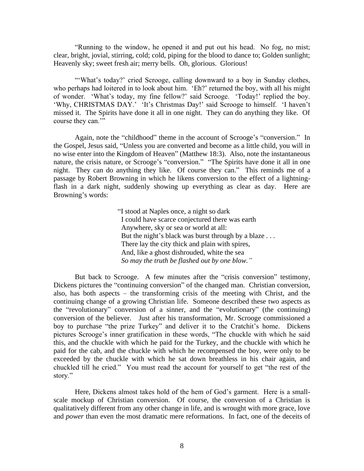"Running to the window, he opened it and put out his head. No fog, no mist; clear, bright, jovial, stirring, cold; cold, piping for the blood to dance to; Golden sunlight; Heavenly sky; sweet fresh air; merry bells. Oh, glorious. Glorious!

"'What's today?' cried Scrooge, calling downward to a boy in Sunday clothes, who perhaps had loitered in to look about him. 'Eh?' returned the boy, with all his might of wonder. 'What's today, my fine fellow?' said Scrooge. 'Today!' replied the boy. 'Why, CHRISTMAS DAY.' 'It's Christmas Day!' said Scrooge to himself. 'I haven't missed it. The Spirits have done it all in one night. They can do anything they like. Of course they can."

Again, note the "childhood" theme in the account of Scrooge's "conversion." In the Gospel, Jesus said, "Unless you are converted and become as a little child, you will in no wise enter into the Kingdom of Heaven" (Matthew 18:3). Also, note the instantaneous nature, the crisis nature, or Scrooge's "conversion." "The Spirits have done it all in one night. They can do anything they like. Of course they can." This reminds me of a passage by Robert Browning in which he likens conversion to the effect of a lightningflash in a dark night, suddenly showing up everything as clear as day. Here are Browning's words:

> "I stood at Naples once, a night so dark I could have scarce conjectured there was earth Anywhere, sky or sea or world at all: But the night's black was burst through by a blaze ... There lay the city thick and plain with spires, And, like a ghost dishrouded, white the sea *So may the truth be flashed out by one blow."*

But back to Scrooge. A few minutes after the "crisis conversion" testimony, Dickens pictures the "continuing conversion" of the changed man. Christian conversion, also, has both aspects – the transforming crisis of the meeting with Christ, and the continuing change of a growing Christian life. Someone described these two aspects as the "revolutionary" conversion of a sinner, and the "evolutionary" (the continuing) conversion of the believer. Just after his transformation, Mr. Scrooge commissioned a boy to purchase "the prize Turkey" and deliver it to the Cratchit's home. Dickens pictures Scrooge's inner gratification in these words, "The chuckle with which he said this, and the chuckle with which he paid for the Turkey, and the chuckle with which he paid for the cab, and the chuckle with which he recompensed the boy, were only to be exceeded by the chuckle with which he sat down breathless in his chair again, and chuckled till he cried." You must read the account for yourself to get "the rest of the story."

Here, Dickens almost takes hold of the hem of God's garment. Here is a smallscale mockup of Christian conversion. Of course, the conversion of a Christian is qualitatively different from any other change in life, and is wrought with more grace, love and *power* than even the most dramatic mere reformations. In fact, one of the deceits of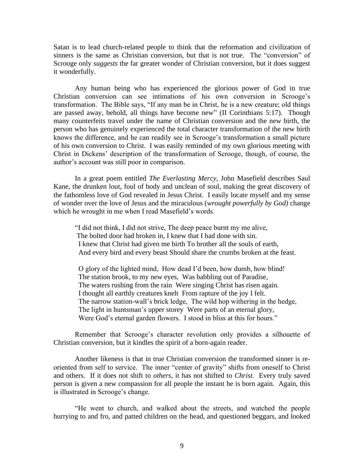Satan is to lead church-related people to think that the reformation and civilization of sinners is the same as Christian conversion, but that is not true. The "conversion" of Scrooge only *suggests* the far greater wonder of Christian conversion, but it does suggest it wonderfully.

Any human being who has experienced the glorious power of God in true Christian conversion can see intimations of his own conversion in Scrooge's transformation. The Bible says, "If any man be in Christ, he is a new creature; old things are passed away, behold, all things have become new" (II Corinthians 5:17). Though many counterfeits travel under the name of Christian conversion and the new birth, the person who has genuinely experienced the total character transformation of the new birth knows the difference, and he can readily see in Scrooge's transformation a small picture of his own conversion to Christ. I was easily reminded of my own glorious meeting with Christ in Dickens' description of the transformation of Scrooge, though, of course, the author's account was still poor in comparison.

In a great poem entitled *The Everlasting Mercy*, John Masefield describes Saul Kane, the drunken lout, foul of body and unclean of soul, making the great discovery of the fathomless love of God revealed in Jesus Christ. I easily locate myself and my sense of wonder over the love of Jesus and the miraculous (*wrought powerfully by God)* change which he wrought in me when I read Masefield's words.

"I did not think, I did not strive, The deep peace burnt my me alive, The bolted door had broken in, I knew that I had done with sin. I knew that Christ had given me birth To brother all the souls of earth, And every bird and every beast Should share the crumbs broken at the feast.

 O glory of the lighted mind, How dead I'd been, how dumb, how blind! The station brook, to my new eyes, Was babbling out of Paradise, The waters rushing from the rain Were singing Christ has risen again. I thought all earthly creatures knelt From rapture of the joy I felt. The narrow station-wall's brick ledge, The wild hop withering in the hedge, The light in huntsman's upper storey Were parts of an eternal glory, Were God's eternal garden flowers. I stood in bliss at this for hours."

Remember that Scrooge's character revolution only provides a silhouette of Christian conversion, but it kindles the spirit of a born-again reader.

Another likeness is that in true Christian conversion the transformed sinner is reoriented from self to service. The inner "center of gravity" shifts from oneself to Christ and others. If it does not shift to *others*, it has not shifted to *Christ.* Every truly saved person is given a new compassion for all people the instant he is born again. Again, this is illustrated in Scrooge's change.

"He went to church, and walked about the streets, and watched the people hurrying to and fro, and patted children on the head, and questioned beggars, and looked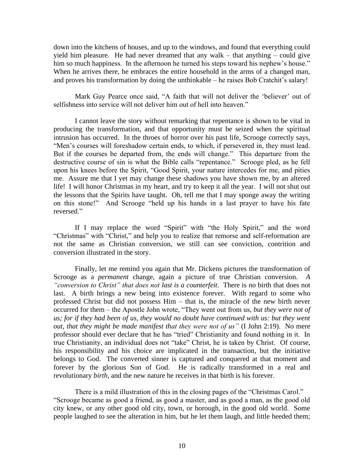down into the kitchens of houses, and up to the windows, and found that everything could yield him pleasure. He had never dreamed that any walk – that anything – could give him so much happiness. In the afternoon he turned his steps toward his nephew's house." When he arrives there, he embraces the entire household in the arms of a changed man, and proves his transformation by doing the unthinkable – he raises Bob Cratchit's salary!

Mark Guy Pearce once said, "A faith that will not deliver the 'believer' out of selfishness into service will not deliver him out of hell into heaven."

I cannot leave the story without remarking that repentance is shown to be vital in producing the transformation, and that opportunity must be seized when the spiritual intrusion has occurred. In the throes of horror over his past life, Scrooge correctly says, "Men's courses will foreshadow certain ends, to which, if persevered in, they must lead. But if the courses be departed from, the ends will change." This departure from the destructive course of sin is what the Bible calls "repentance." Scrooge pled, as he fell upon his knees before the Spirit, "Good Spirit, your nature intercedes for me, and pities me. Assure me that I yet may change these shadows you have shown me, by an altered life! I will honor Christmas in my heart, and try to keep it all the year. I will not shut out the lessons that the Spirits have taught. Oh, tell me that I may sponge away the writing on this stone!" And Scrooge "held up his hands in a last prayer to have his fate reversed."

If I may replace the word "Spirit" with "the Holy Spirit," and the word "Christmas" with "Christ," and help you to realize that remorse and self-reformation are not the same as Christian conversion, we still can see conviction, contrition and conversion illustrated in the story.

Finally, let me remind you again that Mr. Dickens pictures the transformation of Scrooge as a *permanent* change, again a picture of true Christian conversion. *A "conversion to Christ" that does not last is a counterfeit*. There is no birth that does not last. A birth brings a new being into existence forever. With regard to some who professed Christ but did not possess Him – that is, the miracle of the new birth never occurred for them – the Apostle John wrote, "They went out from us, *but they were not of*  us; for if they had been of us, they would no doubt have continued with us: but they went *out, that they might be made manifest that they were not of us"* (I John 2:19). No mere professor should ever declare that he has "tried" Christianity and found nothing in it. In true Christianity, an individual does not "take" Christ, he is taken by Christ. Of course, his responsibility and his choice are implicated in the transaction, but the initiative belongs to God. The converted sinner is captured and conquered at that moment and forever by the glorious Son of God. He is radically transformed in a real and revolutionary *birth*, and the new nature he receives in that birth is his forever.

There is a mild illustration of this in the closing pages of the "Christmas Carol." "Scrooge became as good a friend, as good a master, and as good a man, as the good old city knew, or any other good old city, town, or borough, in the good old world. Some people laughed to see the alteration in him, but he let them laugh, and little heeded them;